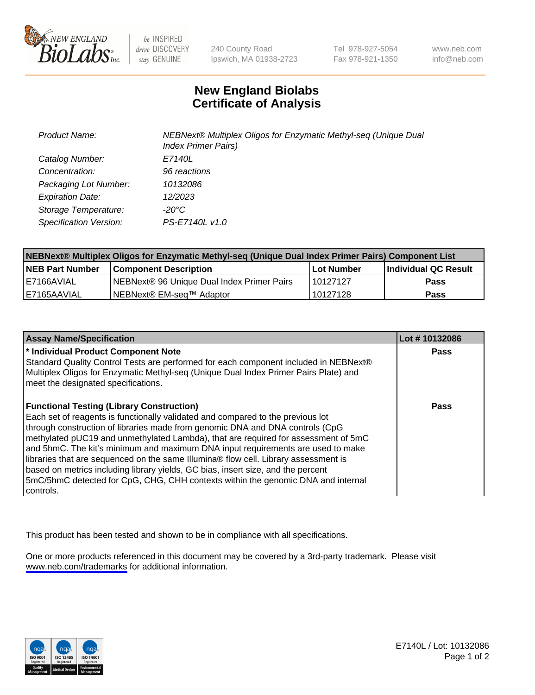

be INSPIRED drive DISCOVERY stay GENUINE

240 County Road Ipswich, MA 01938-2723 Tel 978-927-5054 Fax 978-921-1350

www.neb.com info@neb.com

## **New England Biolabs Certificate of Analysis**

| <b>Product Name:</b>    | NEBNext® Multiplex Oligos for Enzymatic Methyl-seq (Unique Dual<br><b>Index Primer Pairs)</b> |
|-------------------------|-----------------------------------------------------------------------------------------------|
| Catalog Number:         | E7140L                                                                                        |
| Concentration:          | 96 reactions                                                                                  |
| Packaging Lot Number:   | 10132086                                                                                      |
| <b>Expiration Date:</b> | 12/2023                                                                                       |
| Storage Temperature:    | -20°C                                                                                         |
| Specification Version:  | PS-E7140L v1.0                                                                                |

| NEBNext® Multiplex Oligos for Enzymatic Methyl-seq (Unique Dual Index Primer Pairs) Component List |                                                   |            |                      |  |
|----------------------------------------------------------------------------------------------------|---------------------------------------------------|------------|----------------------|--|
| <b>NEB Part Number</b>                                                                             | <b>Component Description</b>                      | Lot Number | Individual QC Result |  |
| I E7166AVIAL                                                                                       | <b>NEBNext® 96 Unique Dual Index Primer Pairs</b> | 10127127   | <b>Pass</b>          |  |
| 'E7165AAVIAL                                                                                       | INEBNext® EM-sea™ Adaptor                         | 10127128   | <b>Pass</b>          |  |

| <b>Assay Name/Specification</b>                                                                                                                                                                                                                                                                                                                                                                                                                                                                                                                                                                                                                                             | Lot #10132086 |
|-----------------------------------------------------------------------------------------------------------------------------------------------------------------------------------------------------------------------------------------------------------------------------------------------------------------------------------------------------------------------------------------------------------------------------------------------------------------------------------------------------------------------------------------------------------------------------------------------------------------------------------------------------------------------------|---------------|
| * Individual Product Component Note<br>Standard Quality Control Tests are performed for each component included in NEBNext®<br>Multiplex Oligos for Enzymatic Methyl-seq (Unique Dual Index Primer Pairs Plate) and<br>meet the designated specifications.                                                                                                                                                                                                                                                                                                                                                                                                                  | <b>Pass</b>   |
| <b>Functional Testing (Library Construction)</b><br>Each set of reagents is functionally validated and compared to the previous lot<br>through construction of libraries made from genomic DNA and DNA controls (CpG<br>methylated pUC19 and unmethylated Lambda), that are required for assessment of 5mC<br>and 5hmC. The kit's minimum and maximum DNA input requirements are used to make<br>libraries that are sequenced on the same Illumina® flow cell. Library assessment is<br>based on metrics including library yields, GC bias, insert size, and the percent<br>5mC/5hmC detected for CpG, CHG, CHH contexts within the genomic DNA and internal<br>l controls. | Pass          |

This product has been tested and shown to be in compliance with all specifications.

One or more products referenced in this document may be covered by a 3rd-party trademark. Please visit <www.neb.com/trademarks>for additional information.